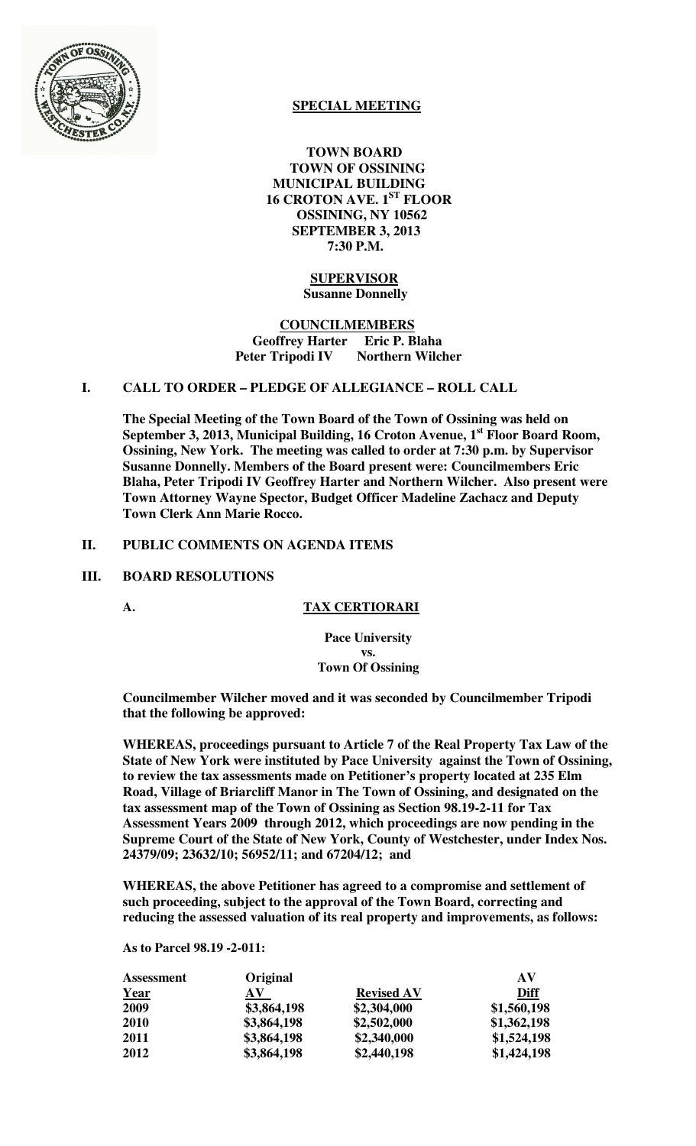

# **SPECIAL MEETING**

 **TOWN BOARD TOWN OF OSSINING MUNICIPAL BUILDING 16 CROTON AVE. 1ST FLOOR OSSINING, NY 10562 SEPTEMBER 3, 2013 7:30 P.M.** 

# **SUPERVISOR Susanne Donnelly**

#### **COUNCILMEMBERS Geoffrey Harter Eric P. Blaha Peter Tripodi IV** Northern Wilcher

# **I. CALL TO ORDER – PLEDGE OF ALLEGIANCE – ROLL CALL**

**The Special Meeting of the Town Board of the Town of Ossining was held on September 3, 2013, Municipal Building, 16 Croton Avenue, 1st Floor Board Room, Ossining, New York. The meeting was called to order at 7:30 p.m. by Supervisor Susanne Donnelly. Members of the Board present were: Councilmembers Eric Blaha, Peter Tripodi IV Geoffrey Harter and Northern Wilcher. Also present were Town Attorney Wayne Spector, Budget Officer Madeline Zachacz and Deputy Town Clerk Ann Marie Rocco.** 

## **II. PUBLIC COMMENTS ON AGENDA ITEMS**

#### **III. BOARD RESOLUTIONS**

#### **A. TAX CERTIORARI**

**Pace University vs. Town Of Ossining**

**Councilmember Wilcher moved and it was seconded by Councilmember Tripodi that the following be approved:** 

**WHEREAS, proceedings pursuant to Article 7 of the Real Property Tax Law of the State of New York were instituted by Pace University against the Town of Ossining, to review the tax assessments made on Petitioner's property located at 235 Elm Road, Village of Briarcliff Manor in The Town of Ossining, and designated on the tax assessment map of the Town of Ossining as Section 98.19-2-11 for Tax Assessment Years 2009 through 2012, which proceedings are now pending in the Supreme Court of the State of New York, County of Westchester, under Index Nos. 24379/09; 23632/10; 56952/11; and 67204/12; and** 

**WHEREAS, the above Petitioner has agreed to a compromise and settlement of such proceeding, subject to the approval of the Town Board, correcting and reducing the assessed valuation of its real property and improvements, as follows:** 

#### **As to Parcel 98.19 -2-011:**

| <b>Assessment</b> | Original         |                   | AV          |
|-------------------|------------------|-------------------|-------------|
| <u>Year</u>       | ${\bf A}{\bf V}$ | <b>Revised AV</b> | <b>Diff</b> |
| 2009              | \$3,864,198      | \$2,304,000       | \$1,560,198 |
| <b>2010</b>       | \$3,864,198      | \$2,502,000       | \$1,362,198 |
| 2011              | \$3,864,198      | \$2,340,000       | \$1,524,198 |
| 2012              | \$3,864,198      | \$2,440,198       | \$1,424,198 |